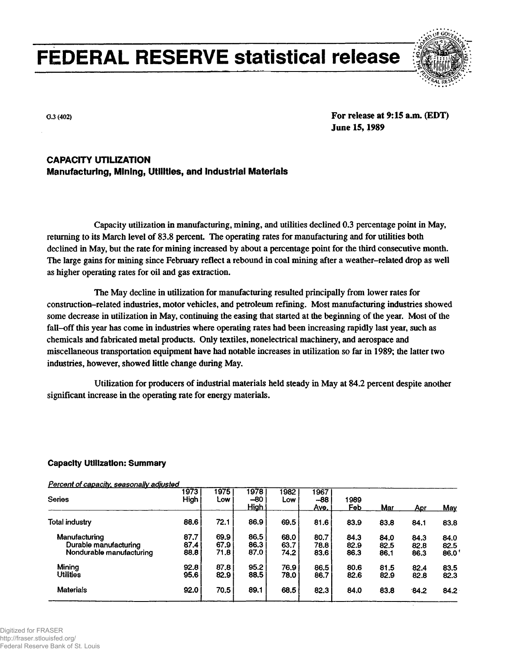# **FEDERAL RESERVE statistical release**



**G.3 (402) For release at 9:15 a.m. (EDT) June 15,1989**

### **CAPACITY UTILIZATION Manufacturing, Mining, Utilities, and Industrial Materials**

Capacity utilization in manufacturing, mining, and utilities declined 0.3 percentage point in May, returning to its March level of 83.8 percent. The operating rates for manufacturing and for utilities both declined in May, but the rate for mining increased by about a percentage point for the third consecutive month. The large gains for mining since February reflect a rebound in coal mining after a weather-related drop as well as higher operating rates for oil and gas extraction.

The May decline in utilization for manufacturing resulted principally from lower rates for construction-related industries, motor vehicles, and petroleum refining. Most manufacturing industries showed some decrease in utilization in May, continuing the easing that started at the beginning of the year. Most of the fall-off this year has come in industries where operating rates had been increasing rapidly last year, such as chemicals and fabricated metal products. Only textiles, nonelectrical machinery, and aerospace and miscellaneous transportation equipment have had notable increases in utilization so far in 1989; the latter two industries, however, showed little change during May.

Utilization for producers of industrial materials held steady in May at 84.2 percent despite another significant increase in the operating rate for energy materials.

#### **Capacity Utilization: Summary**

**Percent of capacity, seasonally adjusted Series Total industry Manufacturing Durable manufacturing Nondurable manufacturing Mining Utilities Materials 1973 High 88.6 87.7 87.4 88.8 92.8 95.6 92.0 1975 Low 72.1 69.9 67.9 71.8 87.8 82.9 70.5 1978 -80 High 86.9 86.5 86.3 87.0 95.2 88.5 89.1 1982 Low 69.5 68.0 63.7 74.2 76.9 78.0 68.5 1967 -88 Ave. 81.6 80.7 78.8 83.6 86.5 86.7 82.3 1989 Feb 83.9 84.3 82.9 86.3 80.6 82.6 84.0 Mar 83.8 84.0 82.5 86.1 81.5 82.9 83.8 Apr 84.1 84.3 82.8 86.3 82.4 82.8 84.2 May 83.8 84.0 82.5 86.0<sup>f</sup> 83.5 82.3 84.2**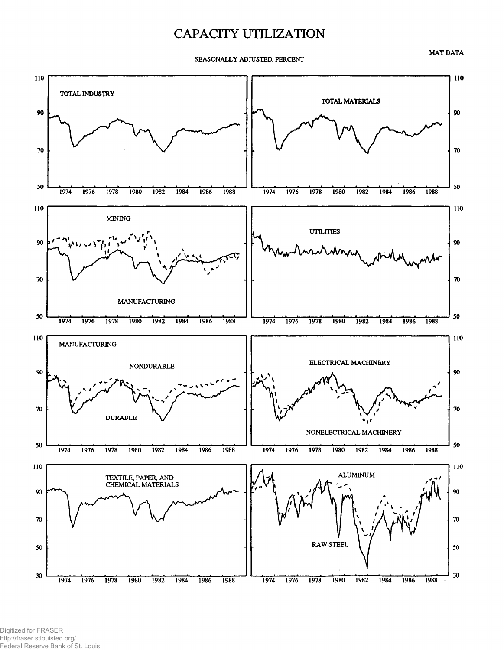## CAPACITY UTILIZATION

**MAY DATA**

**SEASONALLY ADJUSTED, PERCENT**



Digitized for FRASER http://fraser.stlouisfed.org/ Federal Reserve Bank of St. Louis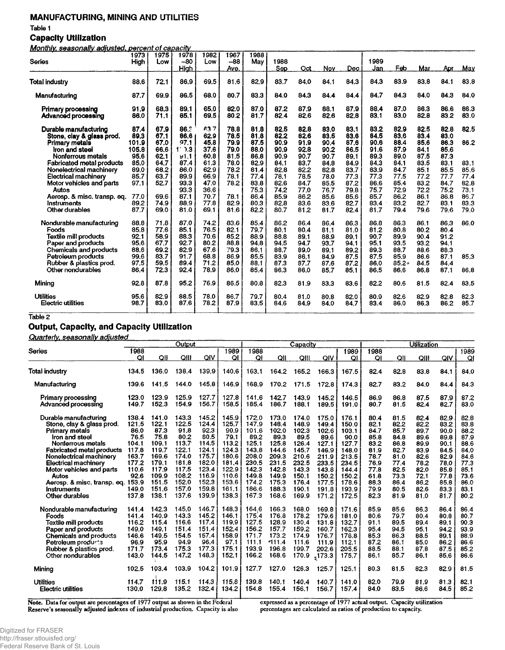#### **MANUFACTURING, MINING AND UTILITIES**

**Table 1**

#### **Capacity Utilization**

**Monthly, seasonally adjusted, percent of capacity**

|                                                    | 1973         | 1975         | 1978         | 1982         | 1967         | 1988         |              |              |              |              |              |              |              |              |              |
|----------------------------------------------------|--------------|--------------|--------------|--------------|--------------|--------------|--------------|--------------|--------------|--------------|--------------|--------------|--------------|--------------|--------------|
| Series                                             | High         | Low          | $-80$        | Low          | -88          | May          | 1988         |              |              |              | 1989         |              |              |              |              |
|                                                    |              |              | High         |              | Ave.         |              | Sep          | Oct          | Nov          | Dec          | Jan          | Feb          | Mar          | Aor          | <u>May</u>   |
| Totai industry                                     | 88.6         | 72.1         | 86.9         | 69.5         | 81.6         | 82.9         | 83.7         | 84.0         | 84.1         | 84.3         | 84.3         | 83.9         | 83.8         | 84.1         | 83.8         |
|                                                    |              |              |              |              |              |              |              |              |              |              |              |              |              |              |              |
| Manufacturing                                      | 87.7         | 69.9         | 86.5         | 68.0         | 80.7         | 83.3         | 84.0         | 84.3         | 84.4         | 84.4         | 84.7         | 84.3         | 84.0         | 84.3         | 84.0         |
| <b>Primary processing</b><br>Advanced processing   | 91.9<br>86.0 | 68.3<br>71.1 | 89.1<br>85.1 | 65,0<br>69.5 | 82.0<br>80.2 | 87.0<br>81.7 | 87.2<br>82.4 | 87.9<br>82.6 | 88.1<br>82.6 | 87.9<br>82.8 | 88.4<br>83.1 | 87.0<br>83.0 | 86.3<br>82.8 | 86.6<br>83.2 | 86.3<br>83.0 |
| Durable manufacturing<br>Stone, clay & glass prod. | 87.4<br>89.3 | 67.9<br>67.1 | 86.3<br>86.6 | 63.7<br>62.9 | 78.8<br>78.5 | 81.8<br>81.8 | 82.5<br>82.2 | 82.8<br>82.6 | 83.0<br>83.5 | 83.1<br>83.6 | 83.2<br>84.5 | 82.9<br>83.6 | 82.5<br>83.4 | 82.8<br>83.0 | 82.5         |
| Primary metals                                     | 101.9        | 67.0         | 97.1         | 45.8         | 79.9         | 87.5         | 90.9         | 91.9         | 90.4         | 87.6         | 90.6         | 88.4         | 85.6         | 86.3         | 86.2         |
| iron and steel                                     | 105.8        | 66.6         | $1'$ ).3     | 37.6         | 79.0         | 88.0         | 90.9         | 92.8         | 90.2         | 86.5         | 91.6         | 87.9         | 84.1         | 85.6         |              |
| Nonferrous metals                                  | 95.6         | 62.1         | 91.1         | 60.8         | 81.5         | 86.8         | 90.9         | 90.7         | 90.7         | 89.1         | 89.3         | 89.0         | 87.5         | 87.3         |              |
| <b>Fabricated metal products</b>                   | 85.0         | 64.7         | 87.4         | 61.3         | 78.0         | 82.9         | 84.1         | 83.7         | 84.8         | 84.9         | 84.3         | 84.1         | 83.5         | 83.1         | 83.1         |
| Nonelectrical machinery                            | 89.0         | 68.2         | 86.0         | 62.9         | 78.2         | 81.4         | 82.8         | 82.2         | 82.8         | 83.7         | 83.9         | 84.7         | 85.1         | 85.5         | 85.6         |
| <b>Electrical machinery</b>                        | 85.7         | 63.7         | 89,9         | 66.9         | 78.1         | 77.4         | 78.1         | 78.5         | 78.0         | 77.3         | 77.3         | 77.5         | 77.2         | 77.7         | 77.4         |
| Motor vehicles and parts                           | 97.1         | 52.7         | 93.3         | 47.0         | 78.2         | 83.8         | 82.6         | 84.7         | 85.5         | 87.2         | 86.6         | 85.4         | 83.2         | 84.7         | 82.8         |
| Autos                                              |              |              | 93.3         | 36.6         |              | 75.3         | 74.2         | 77.0         | 76.7         | 79.8         | 75.7         | 72.9         | 72.2         | 75.2         | 73.1         |
| Aerosp. & misc. transp. eq.                        | 77.0         | 69.6         | 87.1         | 70.7         | 78.1         | 86.4         | 85.9         | 86.2         | 85.6         | 85.6         | 85.7         | 86.2         | 86.1         | 86.8         | 86.7         |
| Instruments                                        | 89.2         | 74.9         | 88.9         | 77.8         | 82.9         | 80.3         | 82.8         | 83.6         | 83.6         | 82.7         | 83.4         | 83.2         | 82.7         | 83.1         | 83.3         |
| Other durables                                     | 87.7         | 69.0         | 81.0         | 69.1         | 81.6         | 82.2         | 80.7         | 81.2         | 81.7         | 82.4         | 81.7         | 79.4         | 79.6         | 79.6         | 79.0         |
| Nondurable manufacturing                           | 88.8         | 71.8         | 87.0         | 74.2         | 83.6         | 85.4         | 86.2         | 86.4         | 86.4         | 86.3         | 86.8         | 86.3         | 86.1         | 86.3         | 86.0         |
| Foods                                              | 85.8         | 77.6         | 85.1         | 76.5         | 82.1         | 79.7         | 80.1         | 80.4         | 81.1         | 81.0         | 81.2         | 80.8         | 80.2         | 80.4         |              |
| Textile mill products                              | 92.1         | 58.9         | 88.3         | 70.6         | 85.2         | 88.9         | 88.8         | 89.1         | 88.9         | 89.1         | 90.7         | 89.9         | 90.4         | 91.2         |              |
| Paper and products                                 | 95.6         | 67.7         | 92.7         | 80.2         | 88.8         | 94.8         | 94.5         | 94.7         | 93.7         | 94.1         | 95.1         | 93.5         | 93.2         | 94.1         |              |
| <b>Chemicals and products</b>                      | 88.6         | 69.2         | 82.9         | 67.6         | 79.3         | 86.1         | 88.7         | 89.0         | 89.1         | 89.2         | 89.3         | 88.7         | 88.6         | 88.3         |              |
| Petroleum products                                 | 99.6         | 83.7         | 91.7         | 68.8         | 86.9         | 85.5         | 83.9         | 86.1         | 84.9         | 87.5         | 87.5         | 85.9         | 86.6         | 87.1         | 85.3         |
| Rubber & plastics prod.                            | 97.5         | 59.5         | 89.4         | 71.2         | 85.0         | 88.1         | 87.3         | 87.7         | 87.6         | 87.2         | 86.0         | $85.2*$      | 84.5         | 84.4         |              |
| Other nondurables                                  | 86.4         | 72.3         | 92.4         | 78.9         | 86.0         | 85.4         | 86.3         | 86.0         | 85.7         | 85.1         | 86.5         | 86.6         | 86.8         | 87.1         | 86.8         |
| Minina                                             | 92.8         | 87.8         | 95.2         | 76.9         | 86.5         | 80.8         | 82.3         | 81.9         | 83.3         | 83.6         | 82.2         | 80.6         | 81.5         | 82.4         | 83.5         |
| <b>Utilities</b>                                   | 95.6         | 82.9         | 88.5         | 78.0         | 86.7         | 79.7         | 80.4         | 81.0         | 80.8         | 82.0         | 80.9         | 82.6         | 82.9         | 82.8         | 82.3         |
| <b>Electric utilities</b>                          | 98.7         | 83.0         | 87.6         | 78.2         | 87.9         | 83.5         | 84.6         | 84.9         | 84.0         | 84.7         | 83.4         | 86.0         | 86.3         | 86.2         | 85.7         |
|                                                    |              |              |              |              |              |              |              |              |              |              |              |              |              |              |              |

**Table 2**

#### **Output, Capacity, and Capacity Utilization**

**Quarterly, seasonally adjusted**

|                                                                                                                                                                                                                                                                                             | Output                                                                                       |                                                                                                        |                                                                                                        |                                                                                                        |                                                                                                        |                                                                                                         |                                                                                                         | Capacity                                                                                                |                                                                                                         | <b>Utilization</b>                                                                                      |                                                                                              |                                                                                              |                                                                                              |                                                                                              |                                                                                              |
|---------------------------------------------------------------------------------------------------------------------------------------------------------------------------------------------------------------------------------------------------------------------------------------------|----------------------------------------------------------------------------------------------|--------------------------------------------------------------------------------------------------------|--------------------------------------------------------------------------------------------------------|--------------------------------------------------------------------------------------------------------|--------------------------------------------------------------------------------------------------------|---------------------------------------------------------------------------------------------------------|---------------------------------------------------------------------------------------------------------|---------------------------------------------------------------------------------------------------------|---------------------------------------------------------------------------------------------------------|---------------------------------------------------------------------------------------------------------|----------------------------------------------------------------------------------------------|----------------------------------------------------------------------------------------------|----------------------------------------------------------------------------------------------|----------------------------------------------------------------------------------------------|----------------------------------------------------------------------------------------------|
| Series                                                                                                                                                                                                                                                                                      | 1988                                                                                         |                                                                                                        |                                                                                                        |                                                                                                        | 1989                                                                                                   | 1988                                                                                                    |                                                                                                         |                                                                                                         |                                                                                                         | 1989                                                                                                    | 1988                                                                                         |                                                                                              |                                                                                              |                                                                                              | 1989                                                                                         |
|                                                                                                                                                                                                                                                                                             | QI                                                                                           | QII                                                                                                    | QIII                                                                                                   | QIV                                                                                                    | QI                                                                                                     | QI                                                                                                      | QII                                                                                                     | QIII                                                                                                    | QIV                                                                                                     | ΟI                                                                                                      | QI                                                                                           | QII                                                                                          | QIII                                                                                         | QIV                                                                                          | Ql                                                                                           |
| Total industry                                                                                                                                                                                                                                                                              | 134.5                                                                                        | 136.0                                                                                                  | 138.4                                                                                                  | 139.9                                                                                                  | 140.6                                                                                                  | 163.1                                                                                                   | 164.2                                                                                                   | 165.2                                                                                                   | 166.3                                                                                                   | 167.5                                                                                                   | 82.4                                                                                         | 82.8                                                                                         | 83.8                                                                                         | 84.1                                                                                         | 84.0                                                                                         |
| Manufacturing                                                                                                                                                                                                                                                                               | 139.6                                                                                        | 141.5                                                                                                  | 144.0                                                                                                  | 145.8                                                                                                  | 146.9                                                                                                  | 168.9                                                                                                   | 170.2                                                                                                   | 171.5                                                                                                   | 172.8                                                                                                   | 174.3                                                                                                   | 82.7                                                                                         | 83.2                                                                                         | 84.0                                                                                         | 84.4                                                                                         | 84.3                                                                                         |
| Primary processing<br>Advanced processing                                                                                                                                                                                                                                                   | 123.0<br>149.7                                                                               | 123.9<br>152.3                                                                                         | 125.9<br>154.9                                                                                         | 127.7<br>156.7                                                                                         | 127.8<br>158.5                                                                                         | 141.6<br>185.4                                                                                          | 142.7<br>186.7                                                                                          | 143.9<br>188.1                                                                                          | 145.2<br>189.5                                                                                          | 146.5<br>191.0                                                                                          | 86.9<br>80.7                                                                                 | 86.8<br>81.5                                                                                 | 87.5<br>82.4                                                                                 | 87.9<br>82.7                                                                                 | 87.2<br>83.0                                                                                 |
| Durable manufacturing<br>Stone, clay & glass prod.<br>Primary metals<br>Iron and steel<br>Nonferrous metals<br><b>Fabricated metal products</b><br>Nonelectrical machinery<br>Electrical machinery<br>Motor vehicles and parts<br>Autos<br>Aerosp. & misc. transp. eq. 153.9<br>Instruments | 138.4<br>121.5<br>86.0<br>76.5<br>104.1<br>117.8<br>163.7<br>177.2<br>110.6<br>92.6<br>149.0 | 141.0<br>122.1<br>87.3<br>75.8<br>109.1<br>119.7<br>169.6<br>179.1<br>117.9<br>109.9<br>151.5<br>151.6 | 143.3<br>122.5<br>91.8<br>80.2<br>113.7<br>122.1<br>174.0<br>181.8<br>117.5<br>108.2<br>152.0<br>157.0 | 145.2<br>124.4<br>92.3<br>80.5<br>114.5<br>124.1<br>175.7<br>182.0<br>123.4<br>116.9<br>152.3<br>159.8 | 145.9<br>125.7<br>90.9<br>79.1<br>113.2<br>124.3<br>180.6<br>181.4<br>122.9<br>110.6<br>153.6<br>161.1 | 172.0<br>147.9<br>101.6<br>89.2<br>125.1<br>143.8<br>208.0<br>230.5<br>142.3<br>149.8<br>174.2<br>186.6 | 173.0<br>148.4<br>102.0<br>89.3<br>125.8<br>144.6<br>209.3<br>231.5<br>142.8<br>149.9<br>175.3<br>188.3 | 174.0<br>148.9<br>102.3<br>89.5<br>126.4<br>145.7<br>210.6<br>232.5<br>143.3<br>150.1<br>176.4<br>190.1 | 175.0<br>149.4<br>102.6<br>89.6<br>127.1<br>146.9<br>211.9<br>233.5<br>143.8<br>150.2<br>177.5<br>191.8 | 176.1<br>150.0<br>103.1<br>90.0<br>127.7<br>148.0<br>213.5<br>234.5<br>144.4<br>150.2<br>178.6<br>193.9 | 80.4<br>82.1<br>84.7<br>85.8<br>83.2<br>81.9<br>78.7<br>76.9<br>77.8<br>61.8<br>88.3<br>79.9 | 81.5<br>82.2<br>85.7<br>84.8<br>86.8<br>82.7<br>81.0<br>77.4<br>82.5<br>73.3<br>86.4<br>80.5 | 82.4<br>82.2<br>89.7<br>89.6<br>89.9<br>83.9<br>82.6<br>78.2<br>82.0<br>72.1<br>86.2<br>82.6 | 82.9<br>83.2<br>90.0<br>89.8<br>90.1<br>84.5<br>82.9<br>78.0<br>85.8<br>77.8<br>85.8<br>83.3 | 82.8<br>83.8<br>88.2<br>87.9<br>88.6<br>84.0<br>84.6<br>77.3<br>85.1<br>73.6<br>86.0<br>83.1 |
| Other durables<br>Nondurable manufacturing                                                                                                                                                                                                                                                  | 137.8<br>141.4                                                                               | 138.1<br>142.3                                                                                         | 137.6<br>145.0                                                                                         | 139.9<br>146.7                                                                                         | 138.3<br>148.3                                                                                         | 167.3<br>164.6                                                                                          | 168.6<br>166.3                                                                                          | 169.9<br>168.0                                                                                          | 171.2<br>169.8                                                                                          | 172.5<br>171.6                                                                                          | 82.3<br>85.9                                                                                 | 81.9<br>85.6                                                                                 | 81.0<br>86.3                                                                                 | 81.7<br>86.4                                                                                 | 80.2<br>86.4                                                                                 |
| Foods<br>Textile mill products<br>Paper and products<br>Chemicals and products<br>Petroleum products<br>Rubber & plastics prod.<br>Other nondurables                                                                                                                                        | 141.4<br>116.2<br>149.0<br>146.6<br>96.9<br>171.7<br>143.0                                   | 140.9<br>115.4<br>149.1<br>149.5<br>95.9<br>173.4<br>144.5                                             | 143.3<br>116.6<br>151.4<br>154.5<br>94.9<br>175.3<br>147.2                                             | 145.2<br>117.4<br>151.4<br>157.4<br>96.4<br>177.3<br>148.3                                             | 146.1<br>119.9<br>152.4<br>158.9<br>97.1<br>175.1<br>152.1                                             | 175.4<br>127.5<br>156.2<br>171.7<br>111.1<br>193.9<br>166.2                                             | 176.8<br>128.9<br>157.7<br>173.2<br>711.4<br>196.8<br>168.6                                             | 178.2<br>130.4<br>159.2<br>174.9<br>111.6<br>199.7<br>170.9                                             | 179.6<br>131.8<br>160.7<br>176.7<br>111.9<br>202.6<br>$_{2}173.3$                                       | 181.0<br>132.7<br>162.3<br>178.8<br>112.1<br>205.5<br>175.7                                             | 80.6<br>91.1<br>95.4<br>85.3<br>87.2<br>88.5<br>86.1                                         | 79.7<br>89.5<br>94.5<br>86.3<br>86.1<br>88.1<br>85.7                                         | 80.4<br>89.4<br>95.1<br>88.5<br>85.0<br>87.8<br>86.1                                         | 80.8<br>89.1<br>94.2<br>89.1<br>86.2<br>87.5<br>85.6                                         | 80.7<br>90.3<br>93.9<br>88.9<br>86.6<br>85.2<br>86.6                                         |
| Mining                                                                                                                                                                                                                                                                                      | 102.5                                                                                        | 103.4                                                                                                  | 103.9                                                                                                  | 104.2                                                                                                  | 101.9                                                                                                  | 127.7                                                                                                   | 127.0                                                                                                   | 126.3                                                                                                   | 125.7                                                                                                   | 125.1                                                                                                   | 80.3                                                                                         | 81.5                                                                                         | 82.3                                                                                         | 82.9                                                                                         | 81.5                                                                                         |
| <b>Utilities</b><br><b>Electric utilities</b>                                                                                                                                                                                                                                               | 114.7<br>130.0                                                                               | 111.9<br>129.8                                                                                         | 115.1<br>135.2                                                                                         | 114.3<br>132.4                                                                                         | 115.8<br>134.2                                                                                         | 139.8<br>154.8                                                                                          | 140.1<br>155.4                                                                                          | 140.4<br>156.1                                                                                          | 140.7<br>156.7                                                                                          | 141.0<br>157.4                                                                                          | 82.0<br>84.0                                                                                 | 79.9<br>83.5                                                                                 | 81.9<br>86.6                                                                                 | 81.3<br>84.5                                                                                 | 82.1<br>85.2                                                                                 |

**Note.** Data for output arc percentages of 1977 output as shown in the Federal Reserve's seasonally adjusted indexes of industrial production. Capacity is also expressed as a percentage of 1977 actual output. Capacity utilization percentages are calculated as ratios of production to capacity.